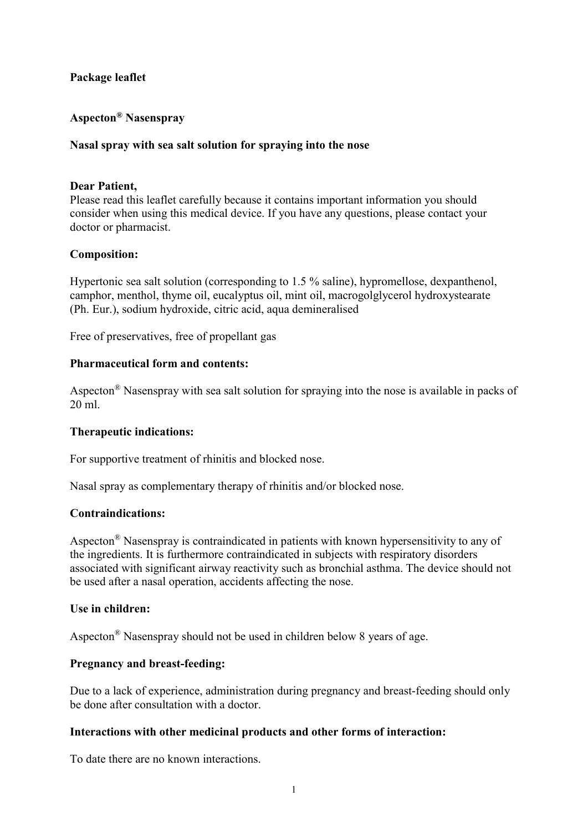# Package leaflet

# Aspecton® Nasenspray

## Nasal spray with sea salt solution for spraying into the nose

## Dear Patient,

Please read this leaflet carefully because it contains important information you should consider when using this medical device. If you have any questions, please contact your doctor or pharmacist.

## Composition:

Hypertonic sea salt solution (corresponding to 1.5 % saline), hypromellose, dexpanthenol, camphor, menthol, thyme oil, eucalyptus oil, mint oil, macrogolglycerol hydroxystearate (Ph. Eur.), sodium hydroxide, citric acid, aqua demineralised

Free of preservatives, free of propellant gas

## Pharmaceutical form and contents:

Aspecton® Nasenspray with sea salt solution for spraying into the nose is available in packs of 20 ml.

#### Therapeutic indications:

For supportive treatment of rhinitis and blocked nose.

Nasal spray as complementary therapy of rhinitis and/or blocked nose.

#### Contraindications:

Aspecton® Nasenspray is contraindicated in patients with known hypersensitivity to any of the ingredients. It is furthermore contraindicated in subjects with respiratory disorders associated with significant airway reactivity such as bronchial asthma. The device should not be used after a nasal operation, accidents affecting the nose.

#### Use in children:

Aspecton® Nasenspray should not be used in children below 8 years of age.

#### Pregnancy and breast-feeding:

Due to a lack of experience, administration during pregnancy and breast-feeding should only be done after consultation with a doctor.

#### Interactions with other medicinal products and other forms of interaction:

To date there are no known interactions.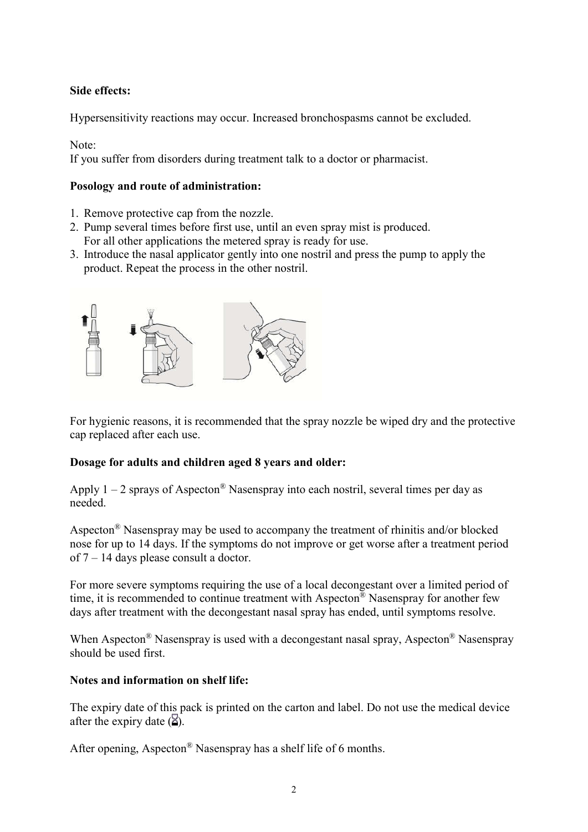# Side effects:

Hypersensitivity reactions may occur. Increased bronchospasms cannot be excluded.

Note:

If you suffer from disorders during treatment talk to a doctor or pharmacist.

# Posology and route of administration:

- 1. Remove protective cap from the nozzle.
- 2. Pump several times before first use, until an even spray mist is produced. For all other applications the metered spray is ready for use.
- 3. Introduce the nasal applicator gently into one nostril and press the pump to apply the product. Repeat the process in the other nostril.



For hygienic reasons, it is recommended that the spray nozzle be wiped dry and the protective cap replaced after each use.

# Dosage for adults and children aged 8 years and older:

Apply  $1 - 2$  sprays of Aspecton<sup>®</sup> Nasenspray into each nostril, several times per day as needed.

Aspecton® Nasenspray may be used to accompany the treatment of rhinitis and/or blocked nose for up to 14 days. If the symptoms do not improve or get worse after a treatment period of 7 – 14 days please consult a doctor.

For more severe symptoms requiring the use of a local decongestant over a limited period of time, it is recommended to continue treatment with Aspecton<sup>®</sup> Nasenspray for another few days after treatment with the decongestant nasal spray has ended, until symptoms resolve.

When Aspecton<sup>®</sup> Nasenspray is used with a decongestant nasal spray, Aspecton<sup>®</sup> Nasenspray should be used first.

# Notes and information on shelf life:

The expiry date of this pack is printed on the carton and label. Do not use the medical device after the expiry date  $(\overline{\mathbf{2}})$ .

After opening, Aspecton® Nasenspray has a shelf life of 6 months.